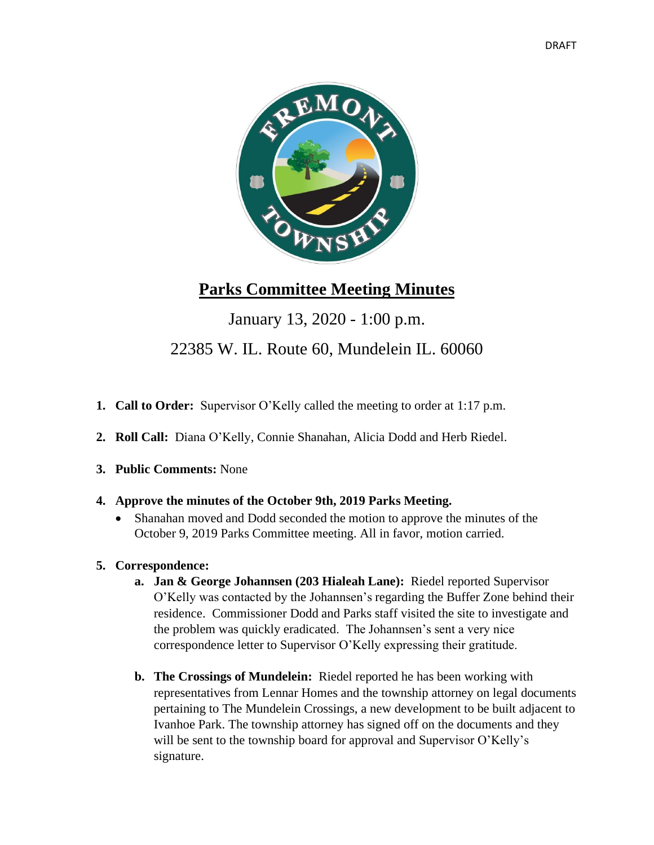

# **Parks Committee Meeting Minutes**

# January 13, 2020 - 1:00 p.m. 22385 W. IL. Route 60, Mundelein IL. 60060

- **1. Call to Order:** Supervisor O'Kelly called the meeting to order at 1:17 p.m.
- **2. Roll Call:** Diana O'Kelly, Connie Shanahan, Alicia Dodd and Herb Riedel.
- **3. Public Comments:** None
- **4. Approve the minutes of the October 9th, 2019 Parks Meeting.**
	- Shanahan moved and Dodd seconded the motion to approve the minutes of the October 9, 2019 Parks Committee meeting. All in favor, motion carried.
- **5. Correspondence:**
	- **a. Jan & George Johannsen (203 Hialeah Lane):** Riedel reported Supervisor O'Kelly was contacted by the Johannsen's regarding the Buffer Zone behind their residence. Commissioner Dodd and Parks staff visited the site to investigate and the problem was quickly eradicated. The Johannsen's sent a very nice correspondence letter to Supervisor O'Kelly expressing their gratitude.
	- **b. The Crossings of Mundelein:** Riedel reported he has been working with representatives from Lennar Homes and the township attorney on legal documents pertaining to The Mundelein Crossings, a new development to be built adjacent to Ivanhoe Park. The township attorney has signed off on the documents and they will be sent to the township board for approval and Supervisor O'Kelly's signature.